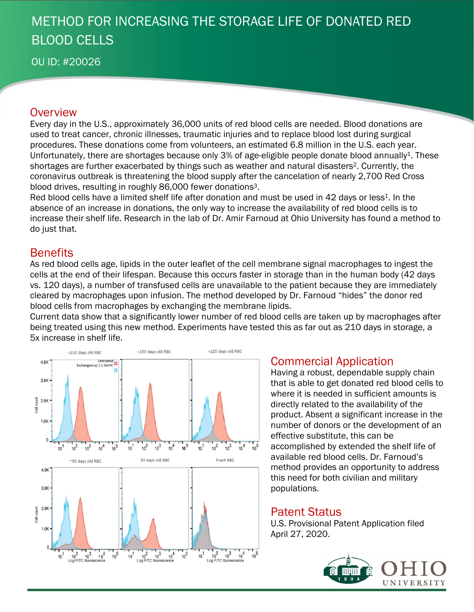# METHOD FOR INCREASING THE STORAGE LIFE OF DONATED RED BLOOD CELLS

OU ID: #20026

### **Overview**

Every day in the U.S., approximately 36,000 units of red blood cells are needed. Blood donations are used to treat cancer, chronic illnesses, traumatic injuries and to replace blood lost during surgical procedures. These donations come from volunteers, an estimated 6.8 million in the U.S. each year. Unfortunately, there are shortages because only 3% of age-eligible people donate blood annually<sup>1</sup>. These shortages are further exacerbated by things such as weather and natural disasters<sup>2</sup>. Currently, the coronavirus outbreak is threatening the blood supply after the cancelation of nearly 2,700 Red Cross blood drives, resulting in roughly 86,000 fewer donations<sup>3</sup>.

Red blood cells have a limited shelf life after donation and must be used in 42 days or less<sup>1</sup>. In the absence of an increase in donations, the only way to increase the availability of red blood cells is to increase their shelf life. Research in the lab of Dr. Amir Farnoud at Ohio University has found a method to do just that.

## **Benefits**

As red blood cells age, lipids in the outer leaflet of the cell membrane signal macrophages to ingest the cells at the end of their lifespan. Because this occurs faster in storage than in the human body (42 days vs. 120 days), a number of transfused cells are unavailable to the patient because they are immediately cleared by macrophages upon infusion. The method developed by Dr. Farnoud "hides" the donor red blood cells from macrophages by exchanging the membrane lipids.

Current data show that a significantly lower number of red blood cells are taken up by macrophages after being treated using this new method. Experiments have tested this as far out as 210 days in storage, a 5x increase in shelf life.



## Commercial Application

Having a robust, dependable supply chain that is able to get donated red blood cells to where it is needed in sufficient amounts is directly related to the availability of the product. Absent a significant increase in the number of donors or the development of an effective substitute, this can be accomplished by extended the shelf life of available red blood cells. Dr. Farnoud's method provides an opportunity to address this need for both civilian and military populations.

### Patent Status

U.S. Provisional Patent Application filed April 27, 2020.